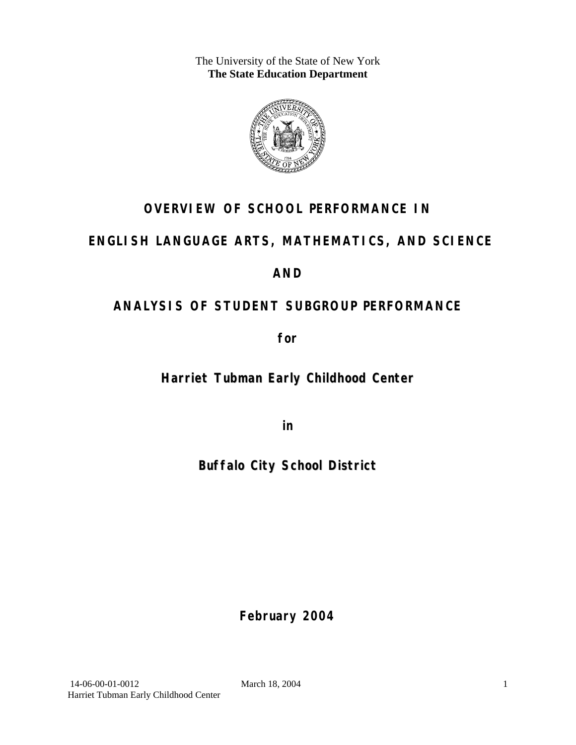The University of the State of New York **The State Education Department** 



## **OVERVIEW OF SCHOOL PERFORMANCE IN**

## **ENGLISH LANGUAGE ARTS, MATHEMATICS, AND SCIENCE**

## **AND**

## **ANALYSIS OF STUDENT SUBGROUP PERFORMANCE**

**for** 

**Harriet Tubman Early Childhood Center**

**in** 

**Buffalo City School District**

**February 2004**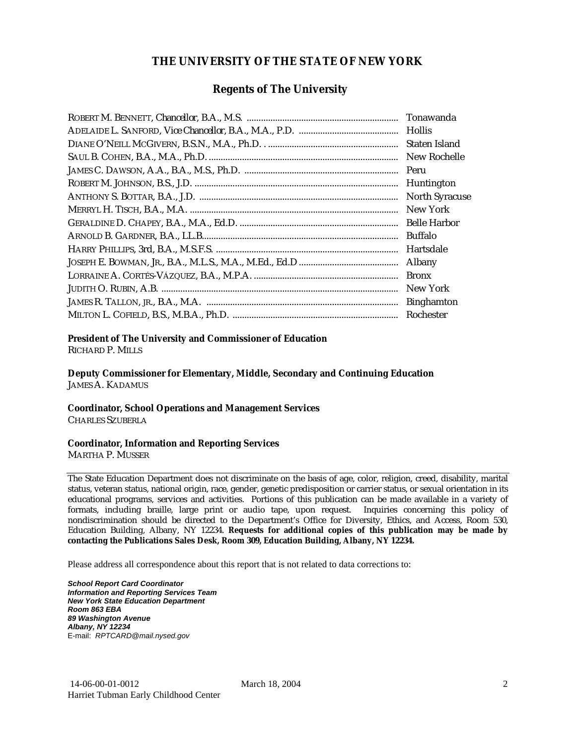#### **THE UNIVERSITY OF THE STATE OF NEW YORK**

### **Regents of The University**

| Tonawanda             |
|-----------------------|
| <b>Hollis</b>         |
| Staten Island         |
| New Rochelle          |
| Peru                  |
| Huntington            |
| <b>North Syracuse</b> |
| New York              |
| <b>Belle Harbor</b>   |
| <b>Buffalo</b>        |
| Hartsdale             |
| Albany                |
| <b>Bronx</b>          |
| New York              |
| <b>Binghamton</b>     |
| Rochester             |

#### **President of The University and Commissioner of Education**

RICHARD P. MILLS

**Deputy Commissioner for Elementary, Middle, Secondary and Continuing Education**  JAMES A. KADAMUS

#### **Coordinator, School Operations and Management Services**

CHARLES SZUBERLA

#### **Coordinator, Information and Reporting Services**

MARTHA P. MUSSER

The State Education Department does not discriminate on the basis of age, color, religion, creed, disability, marital status, veteran status, national origin, race, gender, genetic predisposition or carrier status, or sexual orientation in its educational programs, services and activities. Portions of this publication can be made available in a variety of formats, including braille, large print or audio tape, upon request. Inquiries concerning this policy of nondiscrimination should be directed to the Department's Office for Diversity, Ethics, and Access, Room 530, Education Building, Albany, NY 12234. **Requests for additional copies of this publication may be made by contacting the Publications Sales Desk, Room 309, Education Building, Albany, NY 12234.** 

Please address all correspondence about this report that is not related to data corrections to:

*School Report Card Coordinator Information and Reporting Services Team New York State Education Department Room 863 EBA 89 Washington Avenue Albany, NY 12234*  E-mail: *RPTCARD@mail.nysed.gov*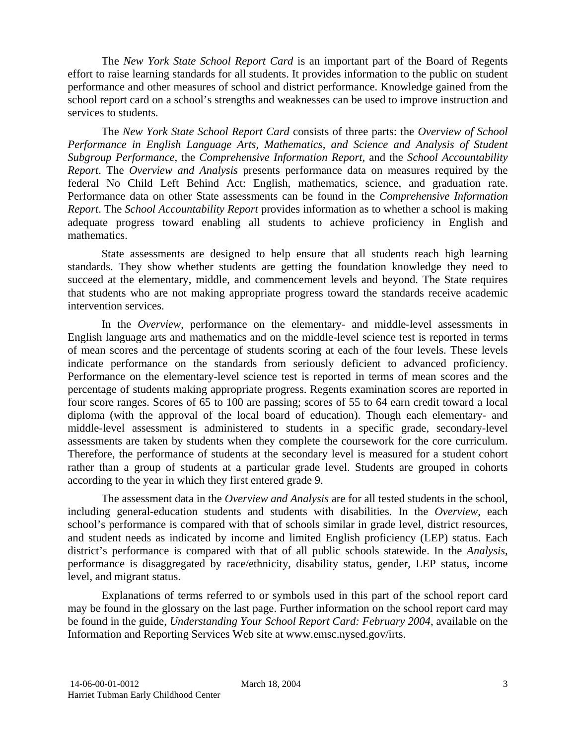The *New York State School Report Card* is an important part of the Board of Regents effort to raise learning standards for all students. It provides information to the public on student performance and other measures of school and district performance. Knowledge gained from the school report card on a school's strengths and weaknesses can be used to improve instruction and services to students.

The *New York State School Report Card* consists of three parts: the *Overview of School Performance in English Language Arts, Mathematics, and Science and Analysis of Student Subgroup Performance,* the *Comprehensive Information Report,* and the *School Accountability Report*. The *Overview and Analysis* presents performance data on measures required by the federal No Child Left Behind Act: English, mathematics, science, and graduation rate. Performance data on other State assessments can be found in the *Comprehensive Information Report*. The *School Accountability Report* provides information as to whether a school is making adequate progress toward enabling all students to achieve proficiency in English and mathematics.

State assessments are designed to help ensure that all students reach high learning standards. They show whether students are getting the foundation knowledge they need to succeed at the elementary, middle, and commencement levels and beyond. The State requires that students who are not making appropriate progress toward the standards receive academic intervention services.

In the *Overview*, performance on the elementary- and middle-level assessments in English language arts and mathematics and on the middle-level science test is reported in terms of mean scores and the percentage of students scoring at each of the four levels. These levels indicate performance on the standards from seriously deficient to advanced proficiency. Performance on the elementary-level science test is reported in terms of mean scores and the percentage of students making appropriate progress. Regents examination scores are reported in four score ranges. Scores of 65 to 100 are passing; scores of 55 to 64 earn credit toward a local diploma (with the approval of the local board of education). Though each elementary- and middle-level assessment is administered to students in a specific grade, secondary-level assessments are taken by students when they complete the coursework for the core curriculum. Therefore, the performance of students at the secondary level is measured for a student cohort rather than a group of students at a particular grade level. Students are grouped in cohorts according to the year in which they first entered grade 9.

The assessment data in the *Overview and Analysis* are for all tested students in the school, including general-education students and students with disabilities. In the *Overview*, each school's performance is compared with that of schools similar in grade level, district resources, and student needs as indicated by income and limited English proficiency (LEP) status. Each district's performance is compared with that of all public schools statewide. In the *Analysis*, performance is disaggregated by race/ethnicity, disability status, gender, LEP status, income level, and migrant status.

Explanations of terms referred to or symbols used in this part of the school report card may be found in the glossary on the last page. Further information on the school report card may be found in the guide, *Understanding Your School Report Card: February 2004*, available on the Information and Reporting Services Web site at www.emsc.nysed.gov/irts.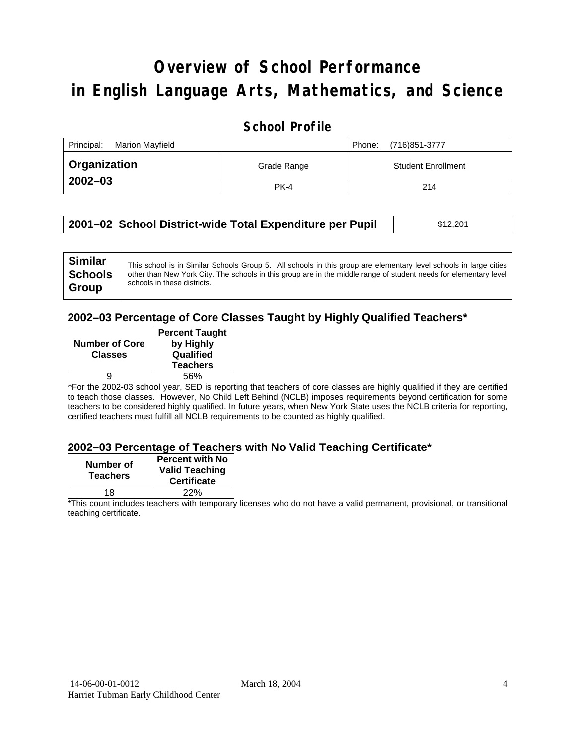# **Overview of School Performance in English Language Arts, Mathematics, and Science**

### **School Profile**

| Principal:<br>Marion Mayfield |             | (716)851-3777<br>Phone:   |
|-------------------------------|-------------|---------------------------|
| <b>Organization</b>           | Grade Range | <b>Student Enrollment</b> |
| $2002 - 03$                   | <b>PK-4</b> | 214                       |

| 2001–02 School District-wide Total Expenditure per Pupil | \$12,201 |  |
|----------------------------------------------------------|----------|--|
|----------------------------------------------------------|----------|--|

#### **2002–03 Percentage of Core Classes Taught by Highly Qualified Teachers\***

| <b>Number of Core</b><br><b>Classes</b> | <b>Percent Taught</b><br>by Highly<br>Qualified<br><b>Teachers</b> |
|-----------------------------------------|--------------------------------------------------------------------|
|                                         | 56%                                                                |

\*For the 2002-03 school year, SED is reporting that teachers of core classes are highly qualified if they are certified to teach those classes. However, No Child Left Behind (NCLB) imposes requirements beyond certification for some teachers to be considered highly qualified. In future years, when New York State uses the NCLB criteria for reporting, certified teachers must fulfill all NCLB requirements to be counted as highly qualified.

#### **2002–03 Percentage of Teachers with No Valid Teaching Certificate\***

| Number of<br><b>Teachers</b> | <b>Percent with No</b><br><b>Valid Teaching</b><br><b>Certificate</b> |
|------------------------------|-----------------------------------------------------------------------|
| 18                           | 22%                                                                   |

\*This count includes teachers with temporary licenses who do not have a valid permanent, provisional, or transitional teaching certificate.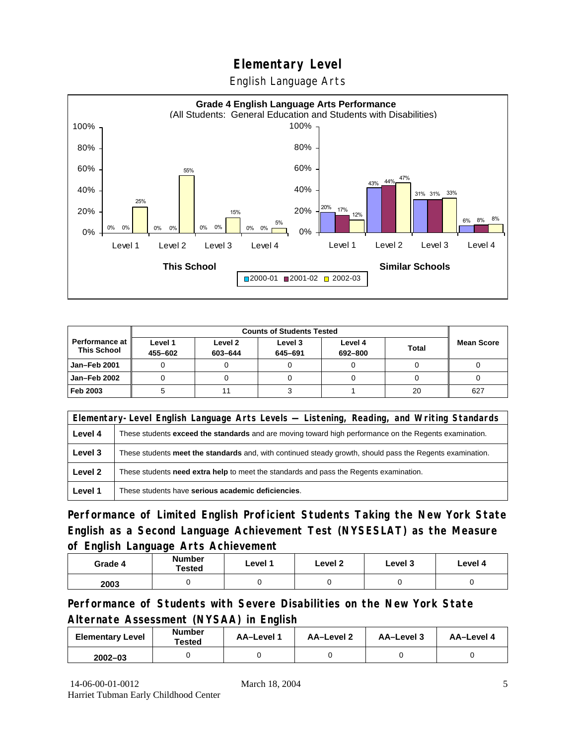English Language Arts



|                                               |                    | <b>Counts of Students Tested</b> |                    |                    |              |                   |
|-----------------------------------------------|--------------------|----------------------------------|--------------------|--------------------|--------------|-------------------|
| <b>Performance at I</b><br><b>This School</b> | Level 1<br>455-602 | Level 2<br>603-644               | Level 3<br>645-691 | Level 4<br>692-800 | <b>Total</b> | <b>Mean Score</b> |
| Jan-Feb 2001                                  |                    |                                  |                    |                    |              |                   |
| Jan-Feb 2002                                  |                    |                                  |                    |                    |              |                   |
| Feb 2003                                      |                    |                                  |                    |                    | 20           | 627               |

|         | Elementary-Level English Language Arts Levels — Listening, Reading, and Writing Standards                     |  |  |  |  |
|---------|---------------------------------------------------------------------------------------------------------------|--|--|--|--|
| Level 4 | These students <b>exceed the standards</b> and are moving toward high performance on the Regents examination. |  |  |  |  |
| Level 3 | These students meet the standards and, with continued steady growth, should pass the Regents examination.     |  |  |  |  |
| Level 2 | These students <b>need extra help</b> to meet the standards and pass the Regents examination.                 |  |  |  |  |
| Level 1 | These students have serious academic deficiencies.                                                            |  |  |  |  |

**Performance of Limited English Proficient Students Taking the New York State English as a Second Language Achievement Test (NYSESLAT) as the Measure of English Language Arts Achievement**

| Grade 4 | <b>Number</b><br><b>Tested</b> | Level 1 | Level 2 | Level 3 | Level 4 |
|---------|--------------------------------|---------|---------|---------|---------|
| 2003    |                                |         |         |         |         |

**Performance of Students with Severe Disabilities on the New York State Alternate Assessment (NYSAA) in English** 

| <b>Elementary Level</b> | <b>Number</b><br>Tested | AA-Level | AA-Level 2 | AA-Level 3 | AA-Level 4 |
|-------------------------|-------------------------|----------|------------|------------|------------|
| $2002 - 03$             |                         |          |            |            |            |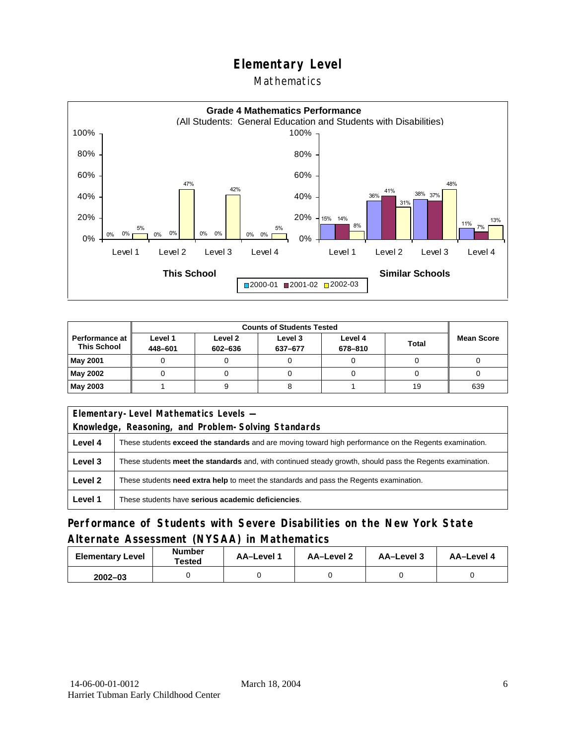### Mathematics



|                                      |                    | <b>Counts of Students Tested</b> |                    |                    |              |                   |  |
|--------------------------------------|--------------------|----------------------------------|--------------------|--------------------|--------------|-------------------|--|
| Performance at<br><b>This School</b> | Level 1<br>448-601 | Level 2<br>602-636               | Level 3<br>637-677 | Level 4<br>678-810 | <b>Total</b> | <b>Mean Score</b> |  |
| May 2001                             |                    |                                  |                    |                    |              |                   |  |
| May 2002                             |                    |                                  |                    |                    |              |                   |  |
| May 2003                             |                    |                                  |                    |                    | 19           | 639               |  |

|                                                                                                          | Elementary-Level Mathematics Levels -                                                                     |  |  |  |
|----------------------------------------------------------------------------------------------------------|-----------------------------------------------------------------------------------------------------------|--|--|--|
| Knowledge, Reasoning, and Problem-Solving Standards                                                      |                                                                                                           |  |  |  |
| Level 4                                                                                                  | These students exceed the standards and are moving toward high performance on the Regents examination.    |  |  |  |
| Level 3                                                                                                  | These students meet the standards and, with continued steady growth, should pass the Regents examination. |  |  |  |
| Level 2<br>These students <b>need extra help</b> to meet the standards and pass the Regents examination. |                                                                                                           |  |  |  |
| Level 1                                                                                                  | These students have serious academic deficiencies.                                                        |  |  |  |

### **Performance of Students with Severe Disabilities on the New York State Alternate Assessment (NYSAA) in Mathematics**

| <b>Elementary Level</b> | <b>Number</b><br>Tested | AA-Level 1 | AA-Level 2 | AA-Level 3 | AA-Level 4 |  |
|-------------------------|-------------------------|------------|------------|------------|------------|--|
| $2002 - 03$             |                         |            |            |            |            |  |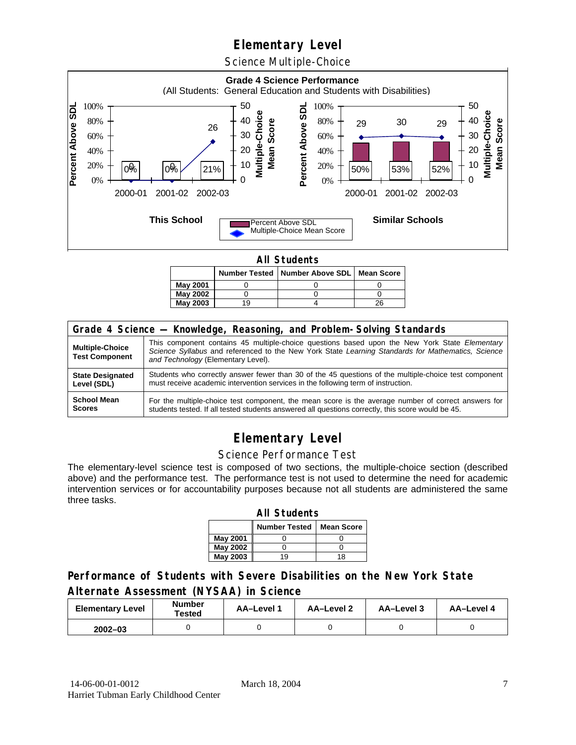Science Multiple-Choice



**All Students** 

|                 |    | Number Tested   Number Above SDL   Mean Score |    |
|-----------------|----|-----------------------------------------------|----|
| May 2001        |    |                                               |    |
| <b>May 2002</b> |    |                                               |    |
| <b>May 2003</b> | 19 |                                               | 26 |

| Grade 4 Science - Knowledge, Reasoning, and Problem-Solving Standards |                                                                                                                                                                                                                                          |  |  |  |  |  |
|-----------------------------------------------------------------------|------------------------------------------------------------------------------------------------------------------------------------------------------------------------------------------------------------------------------------------|--|--|--|--|--|
| <b>Multiple-Choice</b><br><b>Test Component</b>                       | This component contains 45 multiple-choice questions based upon the New York State Elementary<br>Science Syllabus and referenced to the New York State Learning Standards for Mathematics, Science<br>and Technology (Elementary Level). |  |  |  |  |  |
| <b>State Designated</b>                                               | Students who correctly answer fewer than 30 of the 45 questions of the multiple-choice test component                                                                                                                                    |  |  |  |  |  |
| Level (SDL)                                                           | must receive academic intervention services in the following term of instruction.                                                                                                                                                        |  |  |  |  |  |
| <b>School Mean</b>                                                    | For the multiple-choice test component, the mean score is the average number of correct answers for                                                                                                                                      |  |  |  |  |  |
| <b>Scores</b>                                                         | students tested. If all tested students answered all questions correctly, this score would be 45.                                                                                                                                        |  |  |  |  |  |

## **Elementary Level**

#### Science Performance Test

The elementary-level science test is composed of two sections, the multiple-choice section (described above) and the performance test. The performance test is not used to determine the need for academic intervention services or for accountability purposes because not all students are administered the same three tasks.

| <b>All Students</b>                       |    |    |  |  |  |  |  |  |  |
|-------------------------------------------|----|----|--|--|--|--|--|--|--|
| <b>Number Tested</b><br><b>Mean Score</b> |    |    |  |  |  |  |  |  |  |
| May 2001                                  |    |    |  |  |  |  |  |  |  |
| May 2002                                  |    |    |  |  |  |  |  |  |  |
| <b>May 2003</b>                           | 19 | 18 |  |  |  |  |  |  |  |

#### **Performance of Students with Severe Disabilities on the New York State Alternate Assessment (NYSAA) in Science**

| <b>Elementary Level</b> | <b>Number</b><br>Tested | AA-Level 1 | <b>AA-Level 2</b> | AA-Level 3 | AA-Level 4 |  |
|-------------------------|-------------------------|------------|-------------------|------------|------------|--|
| $2002 - 03$             |                         |            |                   |            |            |  |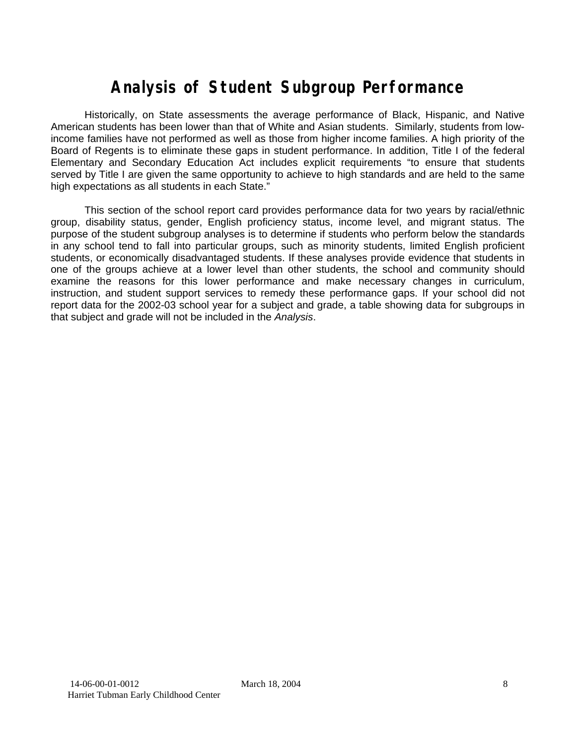# **Analysis of Student Subgroup Performance**

Historically, on State assessments the average performance of Black, Hispanic, and Native American students has been lower than that of White and Asian students. Similarly, students from lowincome families have not performed as well as those from higher income families. A high priority of the Board of Regents is to eliminate these gaps in student performance. In addition, Title I of the federal Elementary and Secondary Education Act includes explicit requirements "to ensure that students served by Title I are given the same opportunity to achieve to high standards and are held to the same high expectations as all students in each State."

This section of the school report card provides performance data for two years by racial/ethnic group, disability status, gender, English proficiency status, income level, and migrant status. The purpose of the student subgroup analyses is to determine if students who perform below the standards in any school tend to fall into particular groups, such as minority students, limited English proficient students, or economically disadvantaged students. If these analyses provide evidence that students in one of the groups achieve at a lower level than other students, the school and community should examine the reasons for this lower performance and make necessary changes in curriculum, instruction, and student support services to remedy these performance gaps. If your school did not report data for the 2002-03 school year for a subject and grade, a table showing data for subgroups in that subject and grade will not be included in the *Analysis*.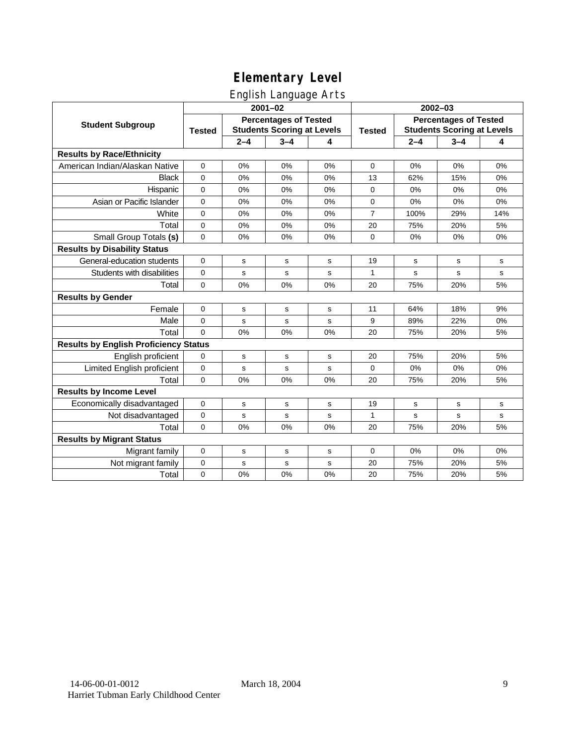English Language Arts

|                                              | ັ<br>$2001 - 02$                                                                   |         |             |               | 2002-03                                                           |         |         |     |
|----------------------------------------------|------------------------------------------------------------------------------------|---------|-------------|---------------|-------------------------------------------------------------------|---------|---------|-----|
| <b>Student Subgroup</b>                      | <b>Percentages of Tested</b><br><b>Students Scoring at Levels</b><br><b>Tested</b> |         |             | <b>Tested</b> | <b>Percentages of Tested</b><br><b>Students Scoring at Levels</b> |         |         |     |
|                                              |                                                                                    | $2 - 4$ | $3 - 4$     | 4             |                                                                   | $2 - 4$ | $3 - 4$ | 4   |
| <b>Results by Race/Ethnicity</b>             |                                                                                    |         |             |               |                                                                   |         |         |     |
| American Indian/Alaskan Native               | $\mathbf{0}$                                                                       | 0%      | 0%          | 0%            | $\Omega$                                                          | 0%      | 0%      | 0%  |
| <b>Black</b>                                 | $\Omega$                                                                           | 0%      | 0%          | 0%            | 13                                                                | 62%     | 15%     | 0%  |
| Hispanic                                     | 0                                                                                  | 0%      | 0%          | 0%            | $\mathbf 0$                                                       | 0%      | 0%      | 0%  |
| Asian or Pacific Islander                    | $\mathbf 0$                                                                        | 0%      | 0%          | 0%            | $\mathbf 0$                                                       | 0%      | 0%      | 0%  |
| White                                        | 0                                                                                  | 0%      | 0%          | 0%            | $\overline{7}$                                                    | 100%    | 29%     | 14% |
| Total                                        | 0                                                                                  | 0%      | 0%          | 0%            | 20                                                                | 75%     | 20%     | 5%  |
| Small Group Totals (s)                       | $\Omega$                                                                           | 0%      | 0%          | 0%            | $\Omega$                                                          | 0%      | 0%      | 0%  |
| <b>Results by Disability Status</b>          |                                                                                    |         |             |               |                                                                   |         |         |     |
| General-education students                   | 0                                                                                  | s       | $\mathbf s$ | s             | 19                                                                | s       | s       | s   |
| Students with disabilities                   | 0                                                                                  | s       | $\mathbf s$ | s             | 1                                                                 | s       | s       | s   |
| Total                                        | $\mathbf 0$                                                                        | 0%      | 0%          | 0%            | 20                                                                | 75%     | 20%     | 5%  |
| <b>Results by Gender</b>                     |                                                                                    |         |             |               |                                                                   |         |         |     |
| Female                                       | $\Omega$                                                                           | s       | s           | s             | 11                                                                | 64%     | 18%     | 9%  |
| Male                                         | 0                                                                                  | s       | s           | s             | 9                                                                 | 89%     | 22%     | 0%  |
| Total                                        | $\Omega$                                                                           | 0%      | 0%          | 0%            | 20                                                                | 75%     | 20%     | 5%  |
| <b>Results by English Proficiency Status</b> |                                                                                    |         |             |               |                                                                   |         |         |     |
| English proficient                           | 0                                                                                  | s       | s           | s             | 20                                                                | 75%     | 20%     | 5%  |
| Limited English proficient                   | 0                                                                                  | s       | $\mathbf s$ | s             | $\Omega$                                                          | 0%      | 0%      | 0%  |
| Total                                        | 0                                                                                  | 0%      | 0%          | 0%            | 20                                                                | 75%     | 20%     | 5%  |
| <b>Results by Income Level</b>               |                                                                                    |         |             |               |                                                                   |         |         |     |
| Economically disadvantaged                   | 0                                                                                  | s       | s           | s             | 19                                                                | s       | s       | s   |
| Not disadvantaged                            | 0                                                                                  | s       | s           | s             | 1                                                                 | s       | s       | s   |
| Total                                        | $\Omega$                                                                           | 0%      | 0%          | 0%            | 20                                                                | 75%     | 20%     | 5%  |
| <b>Results by Migrant Status</b>             |                                                                                    |         |             |               |                                                                   |         |         |     |
| Migrant family                               | 0                                                                                  | s       | ${\bf s}$   | s             | $\mathbf 0$                                                       | 0%      | $0\%$   | 0%  |
| Not migrant family                           | 0                                                                                  | s       | $\mathbf s$ | s             | 20                                                                | 75%     | 20%     | 5%  |
| Total                                        | 0                                                                                  | 0%      | 0%          | 0%            | 20                                                                | 75%     | 20%     | 5%  |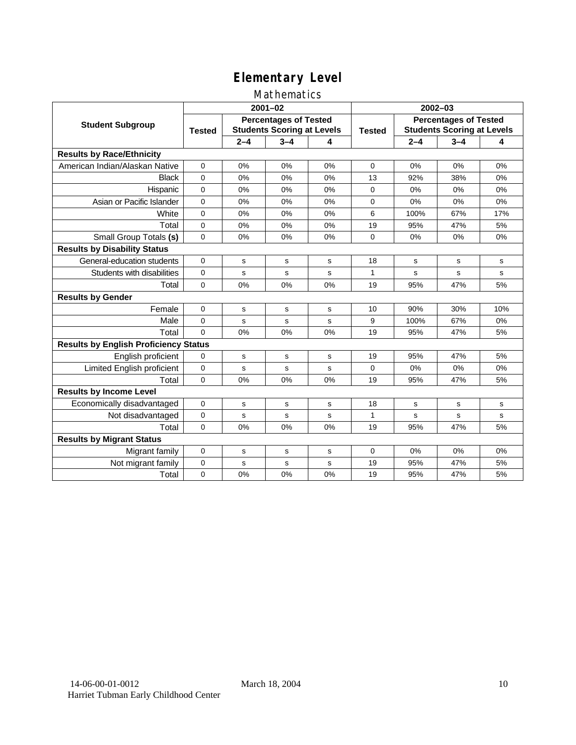### Mathematics

|                                              | $2001 - 02$                                                                        |         |         |               | $2002 - 03$                                                       |         |         |     |
|----------------------------------------------|------------------------------------------------------------------------------------|---------|---------|---------------|-------------------------------------------------------------------|---------|---------|-----|
| <b>Student Subgroup</b>                      | <b>Percentages of Tested</b><br><b>Students Scoring at Levels</b><br><b>Tested</b> |         |         | <b>Tested</b> | <b>Percentages of Tested</b><br><b>Students Scoring at Levels</b> |         |         |     |
|                                              |                                                                                    | $2 - 4$ | $3 - 4$ | 4             |                                                                   | $2 - 4$ | $3 - 4$ | 4   |
| <b>Results by Race/Ethnicity</b>             |                                                                                    |         |         |               |                                                                   |         |         |     |
| American Indian/Alaskan Native               | $\Omega$                                                                           | 0%      | 0%      | 0%            | $\Omega$                                                          | 0%      | $0\%$   | 0%  |
| <b>Black</b>                                 | $\Omega$                                                                           | $0\%$   | 0%      | 0%            | 13                                                                | 92%     | 38%     | 0%  |
| Hispanic                                     | $\Omega$                                                                           | 0%      | 0%      | 0%            | $\Omega$                                                          | 0%      | 0%      | 0%  |
| Asian or Pacific Islander                    | 0                                                                                  | 0%      | 0%      | 0%            | $\mathbf 0$                                                       | 0%      | 0%      | 0%  |
| White                                        | 0                                                                                  | 0%      | 0%      | 0%            | 6                                                                 | 100%    | 67%     | 17% |
| Total                                        | 0                                                                                  | 0%      | 0%      | 0%            | 19                                                                | 95%     | 47%     | 5%  |
| Small Group Totals (s)                       | $\Omega$                                                                           | 0%      | 0%      | 0%            | $\Omega$                                                          | 0%      | 0%      | 0%  |
| <b>Results by Disability Status</b>          |                                                                                    |         |         |               |                                                                   |         |         |     |
| General-education students                   | $\Omega$                                                                           | s       | s       | s             | 18                                                                | s       | s       | s   |
| Students with disabilities                   | 0                                                                                  | s       | s       | s             | 1                                                                 | s       | s       | s   |
| Total                                        | $\mathbf 0$                                                                        | 0%      | 0%      | 0%            | 19                                                                | 95%     | 47%     | 5%  |
| <b>Results by Gender</b>                     |                                                                                    |         |         |               |                                                                   |         |         |     |
| Female                                       | $\Omega$                                                                           | s       | s       | s             | 10                                                                | 90%     | 30%     | 10% |
| Male                                         | 0                                                                                  | s       | s       | s             | 9                                                                 | 100%    | 67%     | 0%  |
| Total                                        | $\Omega$                                                                           | 0%      | 0%      | 0%            | 19                                                                | 95%     | 47%     | 5%  |
| <b>Results by English Proficiency Status</b> |                                                                                    |         |         |               |                                                                   |         |         |     |
| English proficient                           | 0                                                                                  | s       | s       | s             | 19                                                                | 95%     | 47%     | 5%  |
| Limited English proficient                   | 0                                                                                  | s       | s       | s             | $\Omega$                                                          | 0%      | 0%      | 0%  |
| Total                                        | $\Omega$                                                                           | 0%      | 0%      | 0%            | 19                                                                | 95%     | 47%     | 5%  |
| <b>Results by Income Level</b>               |                                                                                    |         |         |               |                                                                   |         |         |     |
| Economically disadvantaged                   | 0                                                                                  | s       | s       | s             | 18                                                                | s       | s       | s   |
| Not disadvantaged                            | 0                                                                                  | s       | s       | s             | 1                                                                 | s       | s       | s   |
| Total                                        | $\Omega$                                                                           | 0%      | 0%      | 0%            | 19                                                                | 95%     | 47%     | 5%  |
| <b>Results by Migrant Status</b>             |                                                                                    |         |         |               |                                                                   |         |         |     |
| Migrant family                               | 0                                                                                  | s       | s       | s             | $\mathbf 0$                                                       | 0%      | $0\%$   | 0%  |
| Not migrant family                           | 0                                                                                  | s       | s       | s             | 19                                                                | 95%     | 47%     | 5%  |
| Total                                        | 0                                                                                  | 0%      | 0%      | 0%            | 19                                                                | 95%     | 47%     | 5%  |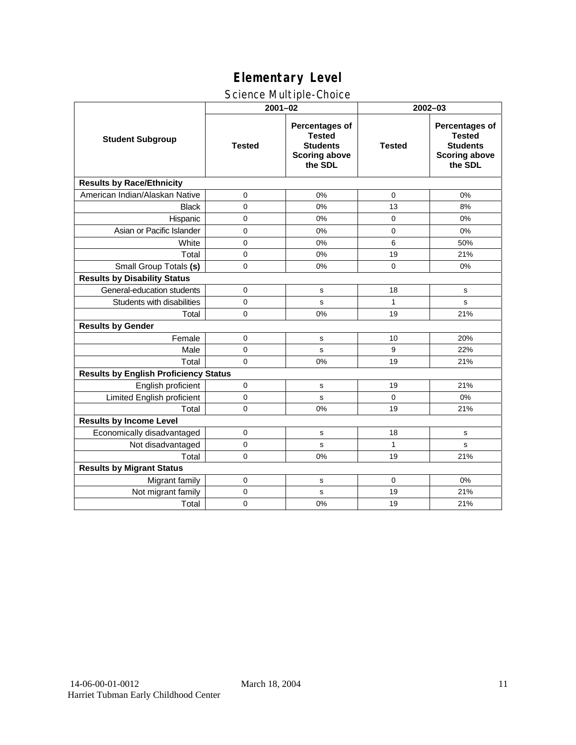### Science Multiple-Choice

|                                              | $2001 - 02$   |                                                                                              | 2002-03       |                                                                                       |  |  |  |
|----------------------------------------------|---------------|----------------------------------------------------------------------------------------------|---------------|---------------------------------------------------------------------------------------|--|--|--|
| <b>Student Subgroup</b>                      | <b>Tested</b> | <b>Percentages of</b><br><b>Tested</b><br><b>Students</b><br><b>Scoring above</b><br>the SDL | <b>Tested</b> | Percentages of<br><b>Tested</b><br><b>Students</b><br><b>Scoring above</b><br>the SDL |  |  |  |
| <b>Results by Race/Ethnicity</b>             |               |                                                                                              |               |                                                                                       |  |  |  |
| American Indian/Alaskan Native               | 0             | 0%                                                                                           | $\mathbf 0$   | 0%                                                                                    |  |  |  |
| <b>Black</b>                                 | $\Omega$      | 0%                                                                                           | 13            | 8%                                                                                    |  |  |  |
| Hispanic                                     | $\mathbf 0$   | 0%                                                                                           | $\mathbf 0$   | 0%                                                                                    |  |  |  |
| Asian or Pacific Islander                    | $\mathbf 0$   | 0%                                                                                           | $\Omega$      | 0%                                                                                    |  |  |  |
| White                                        | 0             | 0%                                                                                           | 6             | 50%                                                                                   |  |  |  |
| Total                                        | $\mathbf 0$   | 0%                                                                                           | 19            | 21%                                                                                   |  |  |  |
| Small Group Totals (s)                       | $\mathbf 0$   | 0%                                                                                           | $\mathbf 0$   | 0%                                                                                    |  |  |  |
| <b>Results by Disability Status</b>          |               |                                                                                              |               |                                                                                       |  |  |  |
| General-education students                   | $\mathbf 0$   | s                                                                                            | 18            | ${\tt s}$                                                                             |  |  |  |
| Students with disabilities                   | $\mathbf 0$   | s                                                                                            | $\mathbf{1}$  | s                                                                                     |  |  |  |
| Total                                        | $\Omega$      | 0%                                                                                           | 19            | 21%                                                                                   |  |  |  |
| <b>Results by Gender</b>                     |               |                                                                                              |               |                                                                                       |  |  |  |
| Female                                       | $\Omega$      | s                                                                                            | 10            | 20%                                                                                   |  |  |  |
| Male                                         | $\mathbf 0$   | s                                                                                            | 9             | 22%                                                                                   |  |  |  |
| Total                                        | $\Omega$      | 0%                                                                                           | 19            | 21%                                                                                   |  |  |  |
| <b>Results by English Proficiency Status</b> |               |                                                                                              |               |                                                                                       |  |  |  |
| English proficient                           | $\mathbf 0$   | s                                                                                            | 19            | 21%                                                                                   |  |  |  |
| Limited English proficient                   | $\mathbf 0$   | s                                                                                            | $\mathbf 0$   | 0%                                                                                    |  |  |  |
| Total                                        | 0             | 0%                                                                                           | 19            | 21%                                                                                   |  |  |  |
| <b>Results by Income Level</b>               |               |                                                                                              |               |                                                                                       |  |  |  |
| Economically disadvantaged                   | $\mathbf 0$   | s                                                                                            | 18            | s                                                                                     |  |  |  |
| Not disadvantaged                            | $\Omega$      | s                                                                                            | 1             | s                                                                                     |  |  |  |
| Total                                        | $\Omega$      | 0%                                                                                           | 19            | 21%                                                                                   |  |  |  |
| <b>Results by Migrant Status</b>             |               |                                                                                              |               |                                                                                       |  |  |  |
| Migrant family                               | $\mathbf 0$   | s                                                                                            | 0             | 0%                                                                                    |  |  |  |
| Not migrant family                           | 0             | s                                                                                            | 19            | 21%                                                                                   |  |  |  |
| Total                                        | $\mathbf 0$   | 0%                                                                                           | 19            | 21%                                                                                   |  |  |  |